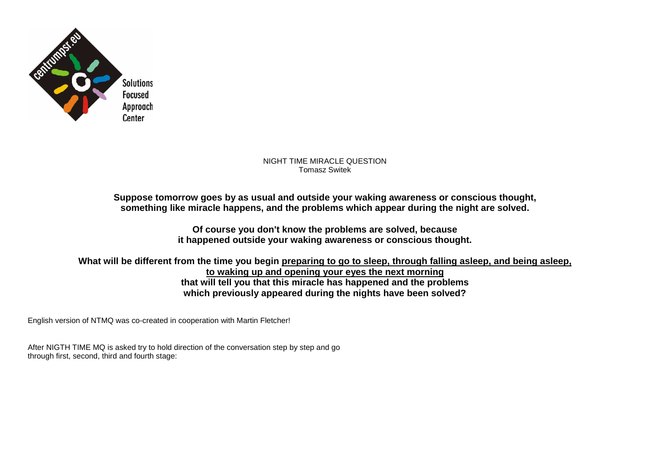

NIGHT TIME MIRACLE QUESTION Tomasz Switek

**Suppose tomorrow goes by as usual and outside your waking awareness or conscious thought, something like miracle happens, and the problems which appear during the night are solved.** 

> **Of course you don't know the problems are solved, because it happened outside your waking awareness or conscious thought.**

**What will be different from the time you begin preparing to go to sleep, through falling asleep, and being asleep, to waking up and opening your eyes the next morning that will tell you that this miracle has happened and the problems which previously appeared during the nights have been solved?** 

English version of NTMQ was co-created in cooperation with Martin Fletcher!

After NIGTH TIME MQ is asked try to hold direction of the conversation step by step and go through first, second, third and fourth stage: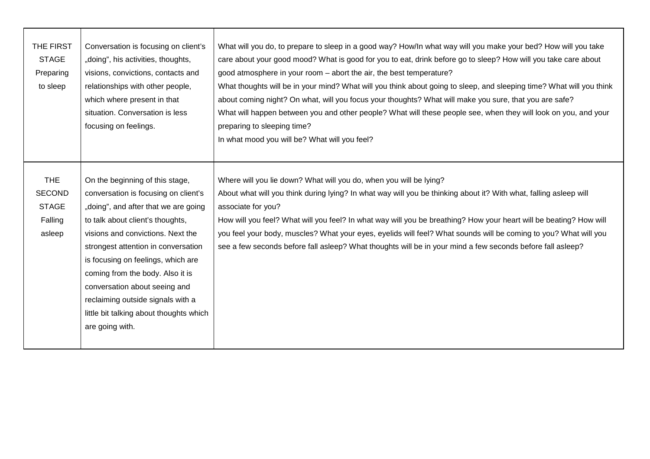| THE FIRST<br><b>STAGE</b><br>Preparing<br>to sleep               | Conversation is focusing on client's<br>"doing", his activities, thoughts,<br>visions, convictions, contacts and<br>relationships with other people,<br>which where present in that<br>situation. Conversation is less<br>focusing on feelings.                                                                                                                                                                                               | What will you do, to prepare to sleep in a good way? How/In what way will you make your bed? How will you take<br>care about your good mood? What is good for you to eat, drink before go to sleep? How will you take care about<br>good atmosphere in your room – abort the air, the best temperature?<br>What thoughts will be in your mind? What will you think about going to sleep, and sleeping time? What will you think<br>about coming night? On what, will you focus your thoughts? What will make you sure, that you are safe?<br>What will happen between you and other people? What will these people see, when they will look on you, and your<br>preparing to sleeping time?<br>In what mood you will be? What will you feel? |
|------------------------------------------------------------------|-----------------------------------------------------------------------------------------------------------------------------------------------------------------------------------------------------------------------------------------------------------------------------------------------------------------------------------------------------------------------------------------------------------------------------------------------|----------------------------------------------------------------------------------------------------------------------------------------------------------------------------------------------------------------------------------------------------------------------------------------------------------------------------------------------------------------------------------------------------------------------------------------------------------------------------------------------------------------------------------------------------------------------------------------------------------------------------------------------------------------------------------------------------------------------------------------------|
| <b>THE</b><br><b>SECOND</b><br><b>STAGE</b><br>Falling<br>asleep | On the beginning of this stage,<br>conversation is focusing on client's<br>"doing", and after that we are going<br>to talk about client's thoughts,<br>visions and convictions. Next the<br>strongest attention in conversation<br>is focusing on feelings, which are<br>coming from the body. Also it is<br>conversation about seeing and<br>reclaiming outside signals with a<br>little bit talking about thoughts which<br>are going with. | Where will you lie down? What will you do, when you will be lying?<br>About what will you think during lying? In what way will you be thinking about it? With what, falling asleep will<br>associate for you?<br>How will you feel? What will you feel? In what way will you be breathing? How your heart will be beating? How will<br>you feel your body, muscles? What your eyes, eyelids will feel? What sounds will be coming to you? What will you<br>see a few seconds before fall asleep? What thoughts will be in your mind a few seconds before fall asleep?                                                                                                                                                                        |